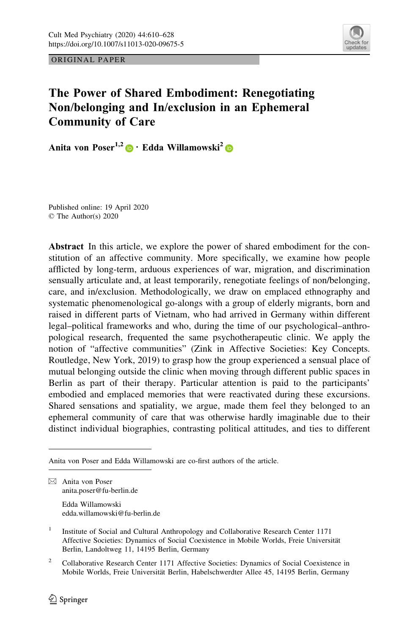

ORIGINAL PAPER

# The Power of Shared Embodiment: Renegotiating Non/belonging and In/exclusion in an Ephemeral Community of Care

Anita von Poser<sup>1,2</sup> • Edda Willamowski<sup>2</sup> <sup>•</sup>

Published online: 19 April 2020 © The Author(s) 2020

Abstract In this article, we explore the power of shared embodiment for the constitution of an affective community. More specifically, we examine how people afflicted by long-term, arduous experiences of war, migration, and discrimination sensually articulate and, at least temporarily, renegotiate feelings of non/belonging, care, and in/exclusion. Methodologically, we draw on emplaced ethnography and systematic phenomenological go-alongs with a group of elderly migrants, born and raised in different parts of Vietnam, who had arrived in Germany within different legal–political frameworks and who, during the time of our psychological–anthropological research, frequented the same psychotherapeutic clinic. We apply the notion of "affective communities" (Zink in Affective Societies: Key Concepts. Routledge, New York, 2019) to grasp how the group experienced a sensual place of mutual belonging outside the clinic when moving through different public spaces in Berlin as part of their therapy. Particular attention is paid to the participants' embodied and emplaced memories that were reactivated during these excursions. Shared sensations and spatiality, we argue, made them feel they belonged to an ephemeral community of care that was otherwise hardly imaginable due to their distinct individual biographies, contrasting political attitudes, and ties to different

Edda Willamowski edda.willamowski@fu-berlin.de

<sup>2</sup> Collaborative Research Center 1171 Affective Societies: Dynamics of Social Coexistence in Mobile Worlds, Freie Universität Berlin, Habelschwerdter Allee 45, 14195 Berlin, Germany

Anita von Poser and Edda Willamowski are co-first authors of the article.

 $\boxtimes$  Anita von Poser anita.poser@fu-berlin.de

<sup>&</sup>lt;sup>1</sup> Institute of Social and Cultural Anthropology and Collaborative Research Center 1171 Affective Societies: Dynamics of Social Coexistence in Mobile Worlds, Freie Universität Berlin, Landoltweg 11, 14195 Berlin, Germany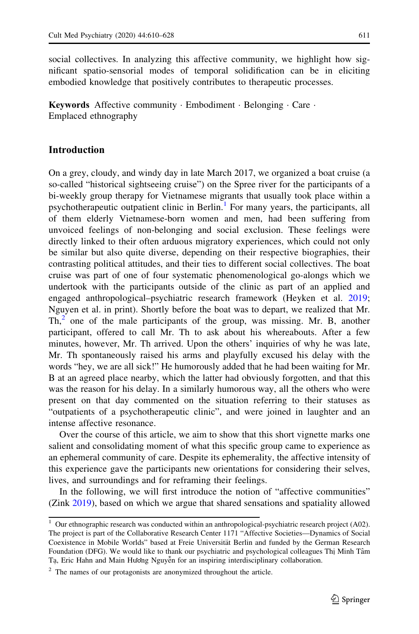social collectives. In analyzing this affective community, we highlight how significant spatio-sensorial modes of temporal solidification can be in eliciting embodied knowledge that positively contributes to therapeutic processes.

Keywords Affective community · Embodiment · Belonging · Care · Emplaced ethnography

## Introduction

On a grey, cloudy, and windy day in late March 2017, we organized a boat cruise (a so-called "historical sightseeing cruise") on the Spree river for the participants of a bi-weekly group therapy for Vietnamese migrants that usually took place within a psychotherapeutic outpatient clinic in Berlin.<sup>1</sup> For many years, the participants, all of them elderly Vietnamese-born women and men, had been suffering from unvoiced feelings of non-belonging and social exclusion. These feelings were directly linked to their often arduous migratory experiences, which could not only be similar but also quite diverse, depending on their respective biographies, their contrasting political attitudes, and their ties to different social collectives. The boat cruise was part of one of four systematic phenomenological go-alongs which we undertook with the participants outside of the clinic as part of an applied and engaged anthropological–psychiatric research framework (Heyken et al. [2019;](#page-17-0) Nguyen et al. in print). Shortly before the boat was to depart, we realized that Mr.  $Th<sub>1</sub><sup>2</sup>$  one of the male participants of the group, was missing. Mr. B, another participant, offered to call Mr. Th to ask about his whereabouts. After a few minutes, however, Mr. Th arrived. Upon the others' inquiries of why he was late, Mr. Th spontaneously raised his arms and playfully excused his delay with the words "hey, we are all sick!" He humorously added that he had been waiting for Mr. B at an agreed place nearby, which the latter had obviously forgotten, and that this was the reason for his delay. In a similarly humorous way, all the others who were present on that day commented on the situation referring to their statuses as "outpatients of a psychotherapeutic clinic", and were joined in laughter and an intense affective resonance.

Over the course of this article, we aim to show that this short vignette marks one salient and consolidating moment of what this specific group came to experience as an ephemeral community of care. Despite its ephemerality, the affective intensity of this experience gave the participants new orientations for considering their selves, lives, and surroundings and for reframing their feelings.

In the following, we will first introduce the notion of "affective communities" (Zink [2019\)](#page-18-0), based on which we argue that shared sensations and spatiality allowed

 $1$  Our ethnographic research was conducted within an anthropological-psychiatric research project (A02). The project is part of the Collaborative Research Center 1171 "Affective Societies—Dynamics of Social Coexistence in Mobile Worlds" based at Freie Universität Berlin and funded by the German Research Foundation (DFG). We would like to thank our psychiatric and psychological colleagues Thi Minh Tâm<br>Ta Eric Hahn and Main Hugha Nauvễn for an inspiring interdisciplinary collaboration Tạ, Eric Hahn and Main Hương Nguyễn for an inspiring interdisciplinary collaboration.

<sup>&</sup>lt;sup>2</sup> The names of our protagonists are anonymized throughout the article.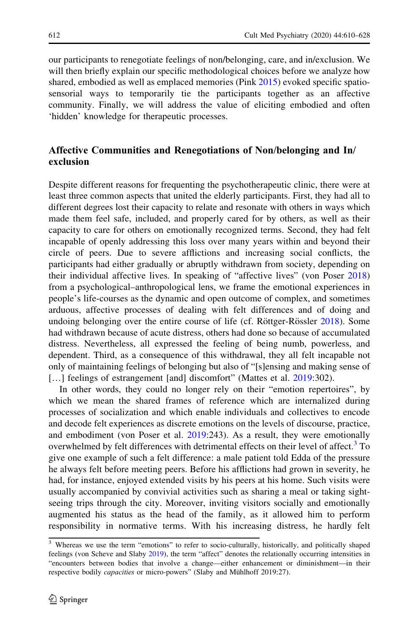our participants to renegotiate feelings of non/belonging, care, and in/exclusion. We will then briefly explain our specific methodological choices before we analyze how shared, embodied as well as emplaced memories (Pink [2015](#page-18-0)) evoked specific spatiosensorial ways to temporarily tie the participants together as an affective community. Finally, we will address the value of eliciting embodied and often 'hidden' knowledge for therapeutic processes.

## Affective Communities and Renegotiations of Non/belonging and In/ exclusion

Despite different reasons for frequenting the psychotherapeutic clinic, there were at least three common aspects that united the elderly participants. First, they had all to different degrees lost their capacity to relate and resonate with others in ways which made them feel safe, included, and properly cared for by others, as well as their capacity to care for others on emotionally recognized terms. Second, they had felt incapable of openly addressing this loss over many years within and beyond their circle of peers. Due to severe afflictions and increasing social conflicts, the participants had either gradually or abruptly withdrawn from society, depending on their individual affective lives. In speaking of "affective lives" (von Poser [2018](#page-18-0)) from a psychological–anthropological lens, we frame the emotional experiences in people's life-courses as the dynamic and open outcome of complex, and sometimes arduous, affective processes of dealing with felt differences and of doing and undoing belonging over the entire course of life (cf. Röttger-Rössler [2018](#page-18-0)). Some had withdrawn because of acute distress, others had done so because of accumulated distress. Nevertheless, all expressed the feeling of being numb, powerless, and dependent. Third, as a consequence of this withdrawal, they all felt incapable not only of maintaining feelings of belonging but also of "[s]ensing and making sense of [...] feelings of estrangement [and] discomfort" (Mattes et al. [2019:](#page-17-0)302).

In other words, they could no longer rely on their "emotion repertoires", by which we mean the shared frames of reference which are internalized during processes of socialization and which enable individuals and collectives to encode and decode felt experiences as discrete emotions on the levels of discourse, practice, and embodiment (von Poser et al. [2019](#page-18-0):243). As a result, they were emotionally overwhelmed by felt differences with detrimental effects on their level of affect.<sup>3</sup> To give one example of such a felt difference: a male patient told Edda of the pressure he always felt before meeting peers. Before his afflictions had grown in severity, he had, for instance, enjoyed extended visits by his peers at his home. Such visits were usually accompanied by convivial activities such as sharing a meal or taking sightseeing trips through the city. Moreover, inviting visitors socially and emotionally augmented his status as the head of the family, as it allowed him to perform responsibility in normative terms. With his increasing distress, he hardly felt

<sup>&</sup>lt;sup>3</sup> Whereas we use the term "emotions" to refer to socio-culturally, historically, and politically shaped feelings (von Scheve and Slaby [2019\)](#page-18-0), the term "affect" denotes the relationally occurring intensities in "encounters between bodies that involve a change—either enhancement or diminishment—in their respective bodily *capacities* or micro-powers" (Slaby and Mühlhoff 2019:27).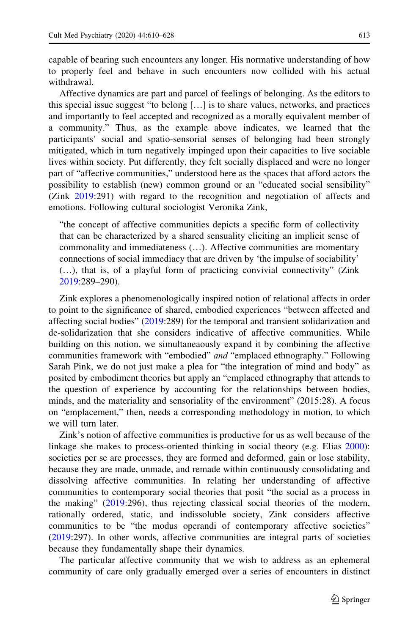capable of bearing such encounters any longer. His normative understanding of how to properly feel and behave in such encounters now collided with his actual withdrawal.

Affective dynamics are part and parcel of feelings of belonging. As the editors to this special issue suggest "to belong […] is to share values, networks, and practices and importantly to feel accepted and recognized as a morally equivalent member of a community." Thus, as the example above indicates, we learned that the participants' social and spatio-sensorial senses of belonging had been strongly mitigated, which in turn negatively impinged upon their capacities to live sociable lives within society. Put differently, they felt socially displaced and were no longer part of "affective communities," understood here as the spaces that afford actors the possibility to establish (new) common ground or an "educated social sensibility" (Zink [2019](#page-18-0):291) with regard to the recognition and negotiation of affects and emotions. Following cultural sociologist Veronika Zink,

"the concept of affective communities depicts a specific form of collectivity that can be characterized by a shared sensuality eliciting an implicit sense of commonality and immediateness (…). Affective communities are momentary connections of social immediacy that are driven by 'the impulse of sociability' (…), that is, of a playful form of practicing convivial connectivity" (Zink [2019](#page-18-0):289–290).

Zink explores a phenomenologically inspired notion of relational affects in order to point to the significance of shared, embodied experiences "between affected and affecting social bodies" ([2019:](#page-18-0)289) for the temporal and transient solidarization and de-solidarization that she considers indicative of affective communities. While building on this notion, we simultaneaously expand it by combining the affective communities framework with "embodied" and "emplaced ethnography." Following Sarah Pink, we do not just make a plea for "the integration of mind and body" as posited by embodiment theories but apply an "emplaced ethnography that attends to the question of experience by accounting for the relationships between bodies, minds, and the materiality and sensoriality of the environment" (2015:28). A focus on "emplacement," then, needs a corresponding methodology in motion, to which we will turn later.

Zink's notion of affective communities is productive for us as well because of the linkage she makes to process-oriented thinking in social theory (e.g. Elias [2000](#page-17-0)): societies per se are processes, they are formed and deformed, gain or lose stability, because they are made, unmade, and remade within continuously consolidating and dissolving affective communities. In relating her understanding of affective communities to contemporary social theories that posit "the social as a process in the making" ([2019:](#page-18-0)296), thus rejecting classical social theories of the modern, rationally ordered, static, and indissoluble society, Zink considers affective communities to be "the modus operandi of contemporary affective societies" [\(2019](#page-18-0):297). In other words, affective communities are integral parts of societies because they fundamentally shape their dynamics.

The particular affective community that we wish to address as an ephemeral community of care only gradually emerged over a series of encounters in distinct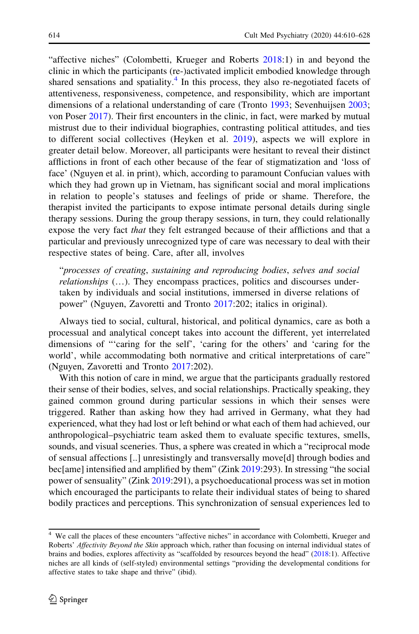"affective niches" (Colombetti, Krueger and Roberts [2018:](#page-17-0)1) in and beyond the clinic in which the participants (re-)activated implicit embodied knowledge through shared sensations and spatiality. $4$  In this process, they also re-negotiated facets of attentiveness, responsiveness, competence, and responsibility, which are important dimensions of a relational understanding of care (Tronto [1993](#page-18-0); Sevenhuijsen [2003;](#page-18-0) von Poser [2017](#page-18-0)). Their first encounters in the clinic, in fact, were marked by mutual mistrust due to their individual biographies, contrasting political attitudes, and ties to different social collectives (Heyken et al. [2019\)](#page-17-0), aspects we will explore in greater detail below. Moreover, all participants were hesitant to reveal their distinct afflictions in front of each other because of the fear of stigmatization and 'loss of face' (Nguyen et al. in print), which, according to paramount Confucian values with which they had grown up in Vietnam, has significant social and moral implications in relation to people's statuses and feelings of pride or shame. Therefore, the therapist invited the participants to expose intimate personal details during single therapy sessions. During the group therapy sessions, in turn, they could relationally expose the very fact *that* they felt estranged because of their afflictions and that a particular and previously unrecognized type of care was necessary to deal with their respective states of being. Care, after all, involves

"processes of creating, sustaining and reproducing bodies, selves and social relationships (…). They encompass practices, politics and discourses undertaken by individuals and social institutions, immersed in diverse relations of power" (Nguyen, Zavoretti and Tronto [2017](#page-18-0):202; italics in original).

Always tied to social, cultural, historical, and political dynamics, care as both a processual and analytical concept takes into account the different, yet interrelated dimensions of "'caring for the self', 'caring for the others' and 'caring for the world', while accommodating both normative and critical interpretations of care" (Nguyen, Zavoretti and Tronto [2017](#page-18-0):202).

With this notion of care in mind, we argue that the participants gradually restored their sense of their bodies, selves, and social relationships. Practically speaking, they gained common ground during particular sessions in which their senses were triggered. Rather than asking how they had arrived in Germany, what they had experienced, what they had lost or left behind or what each of them had achieved, our anthropological–psychiatric team asked them to evaluate specific textures, smells, sounds, and visual sceneries. Thus, a sphere was created in which a "reciprocal mode of sensual affections [..] unresistingly and transversally move[d] through bodies and bec[ame] intensified and amplified by them" (Zink [2019](#page-18-0):293). In stressing "the social power of sensuality" (Zink [2019:](#page-18-0)291), a psychoeducational process was set in motion which encouraged the participants to relate their individual states of being to shared bodily practices and perceptions. This synchronization of sensual experiences led to

<sup>4</sup> We call the places of these encounters "affective niches" in accordance with Colombetti, Krueger and Roberts' Affectivity Beyond the Skin approach which, rather than focusing on internal individual states of brains and bodies, explores affectivity as "scaffolded by resources beyond the head" [\(2018:](#page-17-0)1). Affective niches are all kinds of (self-styled) environmental settings "providing the developmental conditions for affective states to take shape and thrive" (ibid).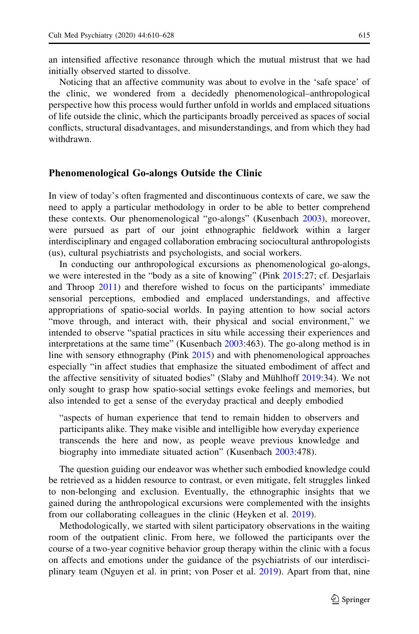an intensified affective resonance through which the mutual mistrust that we had initially observed started to dissolve.

Noticing that an affective community was about to evolve in the 'safe space' of the clinic, we wondered from a decidedly phenomenological–anthropological perspective how this process would further unfold in worlds and emplaced situations of life outside the clinic, which the participants broadly perceived as spaces of social conflicts, structural disadvantages, and misunderstandings, and from which they had withdrawn.

#### Phenomenological Go-alongs Outside the Clinic

In view of today's often fragmented and discontinuous contexts of care, we saw the need to apply a particular methodology in order to be able to better comprehend these contexts. Our phenomenological "go-alongs" (Kusenbach [2003\)](#page-17-0), moreover, were pursued as part of our joint ethnographic fieldwork within a larger interdisciplinary and engaged collaboration embracing sociocultural anthropologists (us), cultural psychiatrists and psychologists, and social workers.

In conducting our anthropological excursions as phenomenological go-alongs, we were interested in the "body as a site of knowing" (Pink [2015:](#page-18-0)27; cf. Desjarlais and Throop [2011](#page-17-0)) and therefore wished to focus on the participants' immediate sensorial perceptions, embodied and emplaced understandings, and affective appropriations of spatio-social worlds. In paying attention to how social actors "move through, and interact with, their physical and social environment," we intended to observe "spatial practices in situ while accessing their experiences and interpretations at the same time" (Kusenbach [2003](#page-17-0):463). The go-along method is in line with sensory ethnography (Pink [2015](#page-18-0)) and with phenomenological approaches especially "in affect studies that emphasize the situated embodiment of affect and the affective sensitivity of situated bodies" (Slaby and Mühlhoff [2019:](#page-18-0)34). We not only sought to grasp how spatio-social settings evoke feelings and memories, but also intended to get a sense of the everyday practical and deeply embodied

"aspects of human experience that tend to remain hidden to observers and participants alike. They make visible and intelligible how everyday experience transcends the here and now, as people weave previous knowledge and biography into immediate situated action" (Kusenbach [2003:](#page-17-0)478).

The question guiding our endeavor was whether such embodied knowledge could be retrieved as a hidden resource to contrast, or even mitigate, felt struggles linked to non-belonging and exclusion. Eventually, the ethnographic insights that we gained during the anthropological excursions were complemented with the insights from our collaborating colleagues in the clinic (Heyken et al. [2019](#page-17-0)).

Methodologically, we started with silent participatory observations in the waiting room of the outpatient clinic. From here, we followed the participants over the course of a two-year cognitive behavior group therapy within the clinic with a focus on affects and emotions under the guidance of the psychiatrists of our interdisciplinary team (Nguyen et al. in print; von Poser et al. [2019\)](#page-18-0). Apart from that, nine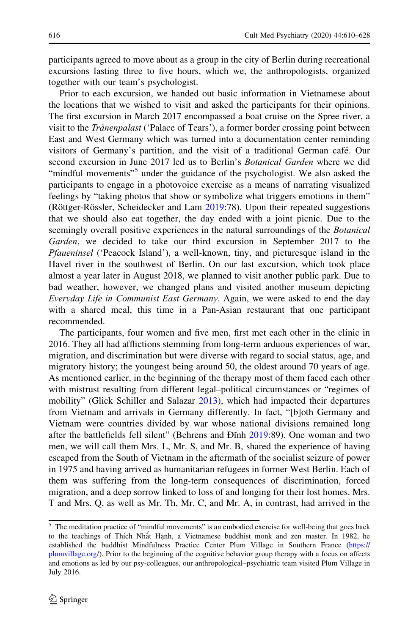participants agreed to move about as a group in the city of Berlin during recreational excursions lasting three to five hours, which we, the anthropologists, organized together with our team's psychologist.

Prior to each excursion, we handed out basic information in Vietnamese about the locations that we wished to visit and asked the participants for their opinions. The first excursion in March 2017 encompassed a boat cruise on the Spree river, a visit to the Tränenpalast ('Palace of Tears'), a former border crossing point between East and West Germany which was turned into a documentation center reminding visitors of Germany's partition, and the visit of a traditional German café. Our second excursion in June 2017 led us to Berlin's Botanical Garden where we did "mindful movements"<sup>5</sup> under the guidance of the psychologist. We also asked the participants to engage in a photovoice exercise as a means of narrating visualized feelings by "taking photos that show or symbolize what triggers emotions in them" (Röttger-Rössler, Scheidecker and Lam [2019](#page-18-0):78). Upon their repeated suggestions that we should also eat together, the day ended with a joint picnic. Due to the seemingly overall positive experiences in the natural surroundings of the *Botanical* Garden, we decided to take our third excursion in September 2017 to the Pfaueninsel ('Peacock Island'), a well-known, tiny, and picturesque island in the Havel river in the southwest of Berlin. On our last excursion, which took place almost a year later in August 2018, we planned to visit another public park. Due to bad weather, however, we changed plans and visited another museum depicting Everyday Life in Communist East Germany. Again, we were asked to end the day with a shared meal, this time in a Pan-Asian restaurant that one participant recommended.

The participants, four women and five men, first met each other in the clinic in 2016. They all had afflictions stemming from long-term arduous experiences of war, migration, and discrimination but were diverse with regard to social status, age, and migratory history; the youngest being around 50, the oldest around 70 years of age. As mentioned earlier, in the beginning of the therapy most of them faced each other with mistrust resulting from different legal–political circumstances or "regimes of mobility" (Glick Schiller and Salazar [2013](#page-17-0)), which had impacted their departures from Vietnam and arrivals in Germany differently. In fact, "[b]oth Germany and Vietnam were countries divided by war whose national divisions remained long after the battlefields fell silent" (Behrens and Đĩnh [2019](#page-17-0):89). One woman and two men, we will call them Mrs. L, Mr. S, and Mr. B, shared the experience of having escaped from the South of Vietnam in the aftermath of the socialist seizure of power in 1975 and having arrived as humanitarian refugees in former West Berlin. Each of them was suffering from the long-term consequences of discrimination, forced migration, and a deep sorrow linked to loss of and longing for their lost homes. Mrs. T and Mrs. Q, as well as Mr. Th, Mr. C, and Mr. A, in contrast, had arrived in the

<sup>5</sup> The meditation practice of "mindful movements" is an embodied exercise for well-being that goes back to the teachings of Thích Nhất Hạnh, a Vietnamese buddhist monk and zen master. In 1982, he established the buddhist Mindfulness Practice Center Plum Village in Southern France [\(https://](https://plumvillage.org/) [plumvillage.org/](https://plumvillage.org/)). Prior to the beginning of the cognitive behavior group therapy with a focus on affects and emotions as led by our psy-colleagues, our anthropological–psychiatric team visited Plum Village in July 2016.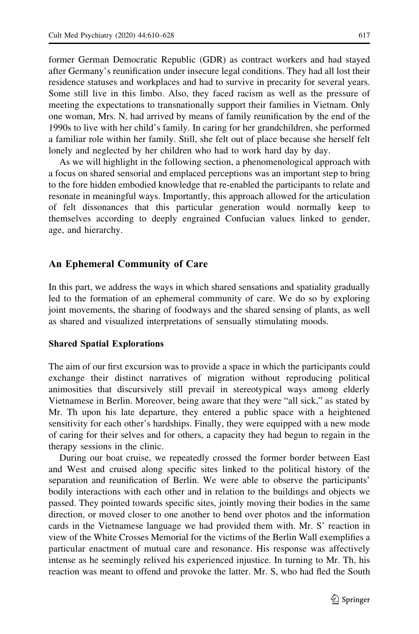former German Democratic Republic (GDR) as contract workers and had stayed after Germany's reunification under insecure legal conditions. They had all lost their residence statuses and workplaces and had to survive in precarity for several years. Some still live in this limbo. Also, they faced racism as well as the pressure of meeting the expectations to transnationally support their families in Vietnam. Only one woman, Mrs. N, had arrived by means of family reunification by the end of the 1990s to live with her child's family. In caring for her grandchildren, she performed a familiar role within her family. Still, she felt out of place because she herself felt lonely and neglected by her children who had to work hard day by day.

As we will highlight in the following section, a phenomenological approach with a focus on shared sensorial and emplaced perceptions was an important step to bring to the fore hidden embodied knowledge that re-enabled the participants to relate and resonate in meaningful ways. Importantly, this approach allowed for the articulation of felt dissonances that this particular generation would normally keep to themselves according to deeply engrained Confucian values linked to gender, age, and hierarchy.

## An Ephemeral Community of Care

In this part, we address the ways in which shared sensations and spatiality gradually led to the formation of an ephemeral community of care. We do so by exploring joint movements, the sharing of foodways and the shared sensing of plants, as well as shared and visualized interpretations of sensually stimulating moods.

## Shared Spatial Explorations

The aim of our first excursion was to provide a space in which the participants could exchange their distinct narratives of migration without reproducing political animosities that discursively still prevail in stereotypical ways among elderly Vietnamese in Berlin. Moreover, being aware that they were "all sick," as stated by Mr. Th upon his late departure, they entered a public space with a heightened sensitivity for each other's hardships. Finally, they were equipped with a new mode of caring for their selves and for others, a capacity they had begun to regain in the therapy sessions in the clinic.

During our boat cruise, we repeatedly crossed the former border between East and West and cruised along specific sites linked to the political history of the separation and reunification of Berlin. We were able to observe the participants' bodily interactions with each other and in relation to the buildings and objects we passed. They pointed towards specific sites, jointly moving their bodies in the same direction, or moved closer to one another to bend over photos and the information cards in the Vietnamese language we had provided them with. Mr. S' reaction in view of the White Crosses Memorial for the victims of the Berlin Wall exemplifies a particular enactment of mutual care and resonance. His response was affectively intense as he seemingly relived his experienced injustice. In turning to Mr. Th, his reaction was meant to offend and provoke the latter. Mr. S, who had fled the South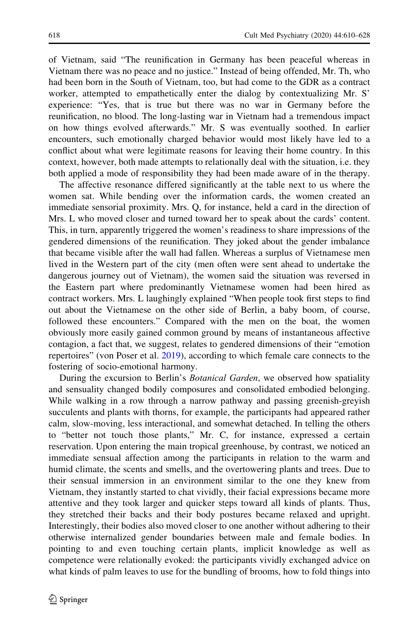of Vietnam, said "The reunification in Germany has been peaceful whereas in Vietnam there was no peace and no justice." Instead of being offended, Mr. Th, who had been born in the South of Vietnam, too, but had come to the GDR as a contract worker, attempted to empathetically enter the dialog by contextualizing Mr. S' experience: "Yes, that is true but there was no war in Germany before the reunification, no blood. The long-lasting war in Vietnam had a tremendous impact on how things evolved afterwards." Mr. S was eventually soothed. In earlier encounters, such emotionally charged behavior would most likely have led to a conflict about what were legitimate reasons for leaving their home country. In this context, however, both made attempts to relationally deal with the situation, i.e. they both applied a mode of responsibility they had been made aware of in the therapy.

The affective resonance differed significantly at the table next to us where the women sat. While bending over the information cards, the women created an immediate sensorial proximity. Mrs. Q, for instance, held a card in the direction of Mrs. L who moved closer and turned toward her to speak about the cards' content. This, in turn, apparently triggered the women's readiness to share impressions of the gendered dimensions of the reunification. They joked about the gender imbalance that became visible after the wall had fallen. Whereas a surplus of Vietnamese men lived in the Western part of the city (men often were sent ahead to undertake the dangerous journey out of Vietnam), the women said the situation was reversed in the Eastern part where predominantly Vietnamese women had been hired as contract workers. Mrs. L laughingly explained "When people took first steps to find out about the Vietnamese on the other side of Berlin, a baby boom, of course, followed these encounters." Compared with the men on the boat, the women obviously more easily gained common ground by means of instantaneous affective contagion, a fact that, we suggest, relates to gendered dimensions of their "emotion repertoires" (von Poser et al. [2019\)](#page-18-0), according to which female care connects to the fostering of socio-emotional harmony.

During the excursion to Berlin's *Botanical Garden*, we observed how spatiality and sensuality changed bodily composures and consolidated embodied belonging. While walking in a row through a narrow pathway and passing greenish-greyish succulents and plants with thorns, for example, the participants had appeared rather calm, slow-moving, less interactional, and somewhat detached. In telling the others to "better not touch those plants," Mr. C, for instance, expressed a certain reservation. Upon entering the main tropical greenhouse, by contrast, we noticed an immediate sensual affection among the participants in relation to the warm and humid climate, the scents and smells, and the overtowering plants and trees. Due to their sensual immersion in an environment similar to the one they knew from Vietnam, they instantly started to chat vividly, their facial expressions became more attentive and they took larger and quicker steps toward all kinds of plants. Thus, they stretched their backs and their body postures became relaxed and upright. Interestingly, their bodies also moved closer to one another without adhering to their otherwise internalized gender boundaries between male and female bodies. In pointing to and even touching certain plants, implicit knowledge as well as competence were relationally evoked: the participants vividly exchanged advice on what kinds of palm leaves to use for the bundling of brooms, how to fold things into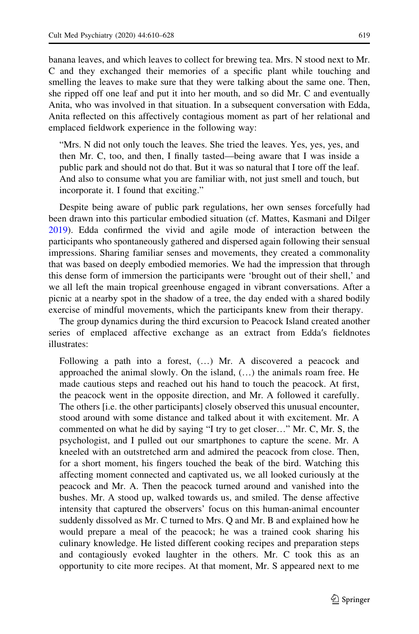banana leaves, and which leaves to collect for brewing tea. Mrs. N stood next to Mr. C and they exchanged their memories of a specific plant while touching and smelling the leaves to make sure that they were talking about the same one. Then, she ripped off one leaf and put it into her mouth, and so did Mr. C and eventually Anita, who was involved in that situation. In a subsequent conversation with Edda, Anita reflected on this affectively contagious moment as part of her relational and emplaced fieldwork experience in the following way:

"Mrs. N did not only touch the leaves. She tried the leaves. Yes, yes, yes, and then Mr. C, too, and then, I finally tasted—being aware that I was inside a public park and should not do that. But it was so natural that I tore off the leaf. And also to consume what you are familiar with, not just smell and touch, but incorporate it. I found that exciting."

Despite being aware of public park regulations, her own senses forcefully had been drawn into this particular embodied situation (cf. Mattes, Kasmani and Dilger [2019\)](#page-17-0). Edda confirmed the vivid and agile mode of interaction between the participants who spontaneously gathered and dispersed again following their sensual impressions. Sharing familiar senses and movements, they created a commonality that was based on deeply embodied memories. We had the impression that through this dense form of immersion the participants were 'brought out of their shell,' and we all left the main tropical greenhouse engaged in vibrant conversations. After a picnic at a nearby spot in the shadow of a tree, the day ended with a shared bodily exercise of mindful movements, which the participants knew from their therapy.

The group dynamics during the third excursion to Peacock Island created another series of emplaced affective exchange as an extract from Edda′s fieldnotes illustrates:

Following a path into a forest, (…) Mr. A discovered a peacock and approached the animal slowly. On the island, (…) the animals roam free. He made cautious steps and reached out his hand to touch the peacock. At first, the peacock went in the opposite direction, and Mr. A followed it carefully. The others [i.e. the other participants] closely observed this unusual encounter, stood around with some distance and talked about it with excitement. Mr. A commented on what he did by saying "I try to get closer…" Mr. C, Mr. S, the psychologist, and I pulled out our smartphones to capture the scene. Mr. A kneeled with an outstretched arm and admired the peacock from close. Then, for a short moment, his fingers touched the beak of the bird. Watching this affecting moment connected and captivated us, we all looked curiously at the peacock and Mr. A. Then the peacock turned around and vanished into the bushes. Mr. A stood up, walked towards us, and smiled. The dense affective intensity that captured the observers' focus on this human-animal encounter suddenly dissolved as Mr. C turned to Mrs. Q and Mr. B and explained how he would prepare a meal of the peacock; he was a trained cook sharing his culinary knowledge. He listed different cooking recipes and preparation steps and contagiously evoked laughter in the others. Mr. C took this as an opportunity to cite more recipes. At that moment, Mr. S appeared next to me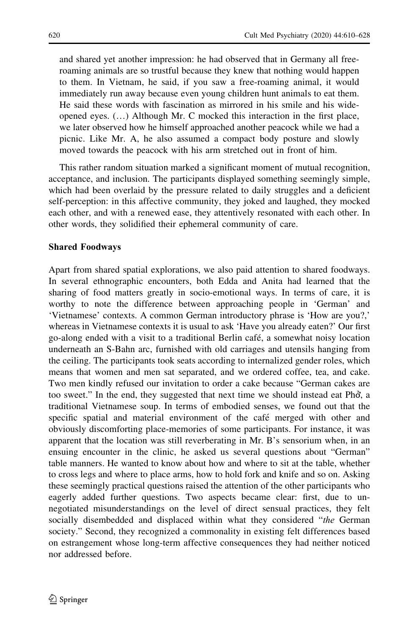and shared yet another impression: he had observed that in Germany all freeroaming animals are so trustful because they knew that nothing would happen to them. In Vietnam, he said, if you saw a free-roaming animal, it would immediately run away because even young children hunt animals to eat them. He said these words with fascination as mirrored in his smile and his wideopened eyes. (…) Although Mr. C mocked this interaction in the first place, we later observed how he himself approached another peacock while we had a picnic. Like Mr. A, he also assumed a compact body posture and slowly moved towards the peacock with his arm stretched out in front of him.

This rather random situation marked a significant moment of mutual recognition, acceptance, and inclusion. The participants displayed something seemingly simple, which had been overlaid by the pressure related to daily struggles and a deficient self-perception: in this affective community, they joked and laughed, they mocked each other, and with a renewed ease, they attentively resonated with each other. In other words, they solidified their ephemeral community of care.

### Shared Foodways

Apart from shared spatial explorations, we also paid attention to shared foodways. In several ethnographic encounters, both Edda and Anita had learned that the sharing of food matters greatly in socio-emotional ways. In terms of care, it is worthy to note the difference between approaching people in 'German' and 'Vietnamese' contexts. A common German introductory phrase is 'How are you?,' whereas in Vietnamese contexts it is usual to ask 'Have you already eaten?' Our first go-along ended with a visit to a traditional Berlin cafe´, a somewhat noisy location underneath an S-Bahn arc, furnished with old carriages and utensils hanging from the ceiling. The participants took seats according to internalized gender roles, which means that women and men sat separated, and we ordered coffee, tea, and cake. Two men kindly refused our invitation to order a cake because "German cakes are too sweet." In the end, they suggested that next time we should instead eat Phở, a traditional Vietnamese soup. In terms of embodied senses, we found out that the specific spatial and material environment of the cafe´ merged with other and obviously discomforting place-memories of some participants. For instance, it was apparent that the location was still reverberating in Mr. B's sensorium when, in an ensuing encounter in the clinic, he asked us several questions about "German" table manners. He wanted to know about how and where to sit at the table, whether to cross legs and where to place arms, how to hold fork and knife and so on. Asking these seemingly practical questions raised the attention of the other participants who eagerly added further questions. Two aspects became clear: first, due to unnegotiated misunderstandings on the level of direct sensual practices, they felt socially disembedded and displaced within what they considered "the German" society." Second, they recognized a commonality in existing felt differences based on estrangement whose long-term affective consequences they had neither noticed nor addressed before.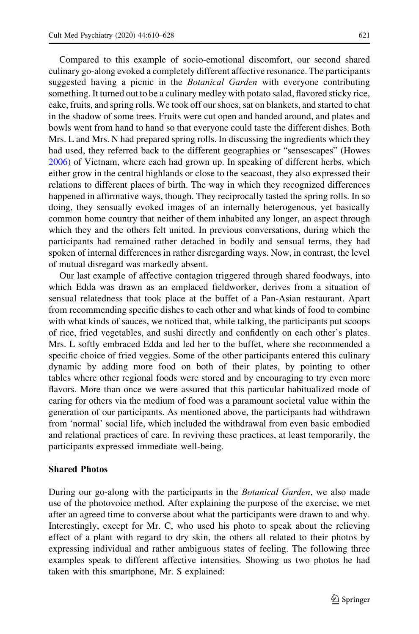Compared to this example of socio-emotional discomfort, our second shared culinary go-along evoked a completely different affective resonance. The participants suggested having a picnic in the *Botanical Garden* with everyone contributing something. It turned out to be a culinary medley with potato salad, flavored sticky rice, cake, fruits, and spring rolls. We took off our shoes, sat on blankets, and started to chat in the shadow of some trees. Fruits were cut open and handed around, and plates and bowls went from hand to hand so that everyone could taste the different dishes. Both Mrs. L and Mrs. N had prepared spring rolls. In discussing the ingredients which they had used, they referred back to the different geographies or "sensescapes" (Howes [2006\)](#page-17-0) of Vietnam, where each had grown up. In speaking of different herbs, which either grow in the central highlands or close to the seacoast, they also expressed their relations to different places of birth. The way in which they recognized differences happened in affirmative ways, though. They reciprocally tasted the spring rolls. In so doing, they sensually evoked images of an internally heterogenous, yet basically common home country that neither of them inhabited any longer, an aspect through which they and the others felt united. In previous conversations, during which the participants had remained rather detached in bodily and sensual terms, they had spoken of internal differences in rather disregarding ways. Now, in contrast, the level of mutual disregard was markedly absent.

Our last example of affective contagion triggered through shared foodways, into which Edda was drawn as an emplaced fieldworker, derives from a situation of sensual relatedness that took place at the buffet of a Pan-Asian restaurant. Apart from recommending specific dishes to each other and what kinds of food to combine with what kinds of sauces, we noticed that, while talking, the participants put scoops of rice, fried vegetables, and sushi directly and confidently on each other's plates. Mrs. L softly embraced Edda and led her to the buffet, where she recommended a specific choice of fried veggies. Some of the other participants entered this culinary dynamic by adding more food on both of their plates, by pointing to other tables where other regional foods were stored and by encouraging to try even more flavors. More than once we were assured that this particular habitualized mode of caring for others via the medium of food was a paramount societal value within the generation of our participants. As mentioned above, the participants had withdrawn from 'normal' social life, which included the withdrawal from even basic embodied and relational practices of care. In reviving these practices, at least temporarily, the participants expressed immediate well-being.

#### Shared Photos

During our go-along with the participants in the *Botanical Garden*, we also made use of the photovoice method. After explaining the purpose of the exercise, we met after an agreed time to converse about what the participants were drawn to and why. Interestingly, except for Mr. C, who used his photo to speak about the relieving effect of a plant with regard to dry skin, the others all related to their photos by expressing individual and rather ambiguous states of feeling. The following three examples speak to different affective intensities. Showing us two photos he had taken with this smartphone, Mr. S explained: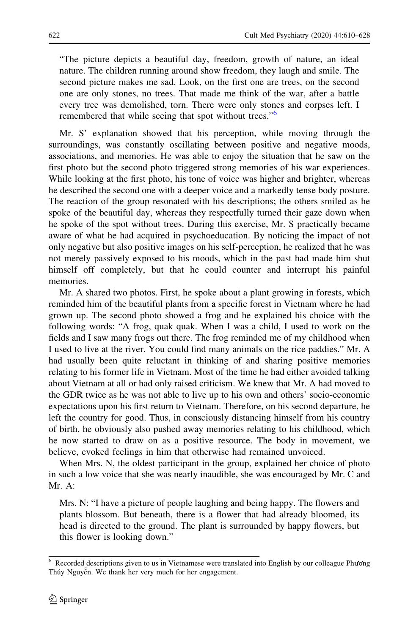"The picture depicts a beautiful day, freedom, growth of nature, an ideal nature. The children running around show freedom, they laugh and smile. The second picture makes me sad. Look, on the first one are trees, on the second one are only stones, no trees. That made me think of the war, after a battle every tree was demolished, torn. There were only stones and corpses left. I remembered that while seeing that spot without trees."<sup>6</sup>

Mr. S' explanation showed that his perception, while moving through the surroundings, was constantly oscillating between positive and negative moods, associations, and memories. He was able to enjoy the situation that he saw on the first photo but the second photo triggered strong memories of his war experiences. While looking at the first photo, his tone of voice was higher and brighter, whereas he described the second one with a deeper voice and a markedly tense body posture. The reaction of the group resonated with his descriptions; the others smiled as he spoke of the beautiful day, whereas they respectfully turned their gaze down when he spoke of the spot without trees. During this exercise, Mr. S practically became aware of what he had acquired in psychoeducation. By noticing the impact of not only negative but also positive images on his self-perception, he realized that he was not merely passively exposed to his moods, which in the past had made him shut himself off completely, but that he could counter and interrupt his painful memories.

Mr. A shared two photos. First, he spoke about a plant growing in forests, which reminded him of the beautiful plants from a specific forest in Vietnam where he had grown up. The second photo showed a frog and he explained his choice with the following words: "A frog, quak quak. When I was a child, I used to work on the fields and I saw many frogs out there. The frog reminded me of my childhood when I used to live at the river. You could find many animals on the rice paddies." Mr. A had usually been quite reluctant in thinking of and sharing positive memories relating to his former life in Vietnam. Most of the time he had either avoided talking about Vietnam at all or had only raised criticism. We knew that Mr. A had moved to the GDR twice as he was not able to live up to his own and others' socio-economic expectations upon his first return to Vietnam. Therefore, on his second departure, he left the country for good. Thus, in consciously distancing himself from his country of birth, he obviously also pushed away memories relating to his childhood, which he now started to draw on as a positive resource. The body in movement, we believe, evoked feelings in him that otherwise had remained unvoiced.

When Mrs. N, the oldest participant in the group, explained her choice of photo in such a low voice that she was nearly inaudible, she was encouraged by Mr. C and Mr. A:

Mrs. N: "I have a picture of people laughing and being happy. The flowers and plants blossom. But beneath, there is a flower that had already bloomed, its head is directed to the ground. The plant is surrounded by happy flowers, but this flower is looking down."

<sup>6</sup> Recorded descriptions given to us in Vietnamese were translated into English by our colleague Phương Thúy Nguyễn. We thank her very much for her engagement.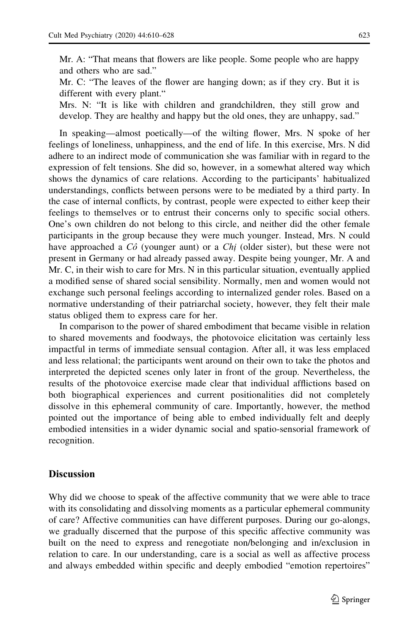Mr. A: "That means that flowers are like people. Some people who are happy and others who are sad."

Mr. C: "The leaves of the flower are hanging down; as if they cry. But it is different with every plant."

Mrs. N: "It is like with children and grandchildren, they still grow and develop. They are healthy and happy but the old ones, they are unhappy, sad."

In speaking—almost poetically—of the wilting flower, Mrs. N spoke of her feelings of loneliness, unhappiness, and the end of life. In this exercise, Mrs. N did adhere to an indirect mode of communication she was familiar with in regard to the expression of felt tensions. She did so, however, in a somewhat altered way which shows the dynamics of care relations. According to the participants' habitualized understandings, conflicts between persons were to be mediated by a third party. In the case of internal conflicts, by contrast, people were expected to either keep their feelings to themselves or to entrust their concerns only to specific social others. One's own children do not belong to this circle, and neither did the other female participants in the group because they were much younger. Instead, Mrs. N could have approached a  $C\hat{o}$  (younger aunt) or a  $Chi$  (older sister), but these were not present in Germany or had already passed away. Despite being younger, Mr. A and Mr. C, in their wish to care for Mrs. N in this particular situation, eventually applied a modified sense of shared social sensibility. Normally, men and women would not exchange such personal feelings according to internalized gender roles. Based on a normative understanding of their patriarchal society, however, they felt their male status obliged them to express care for her.

In comparison to the power of shared embodiment that became visible in relation to shared movements and foodways, the photovoice elicitation was certainly less impactful in terms of immediate sensual contagion. After all, it was less emplaced and less relational; the participants went around on their own to take the photos and interpreted the depicted scenes only later in front of the group. Nevertheless, the results of the photovoice exercise made clear that individual afflictions based on both biographical experiences and current positionalities did not completely dissolve in this ephemeral community of care. Importantly, however, the method pointed out the importance of being able to embed individually felt and deeply embodied intensities in a wider dynamic social and spatio-sensorial framework of recognition.

## **Discussion**

Why did we choose to speak of the affective community that we were able to trace with its consolidating and dissolving moments as a particular ephemeral community of care? Affective communities can have different purposes. During our go-alongs, we gradually discerned that the purpose of this specific affective community was built on the need to express and renegotiate non/belonging and in/exclusion in relation to care. In our understanding, care is a social as well as affective process and always embedded within specific and deeply embodied "emotion repertoires"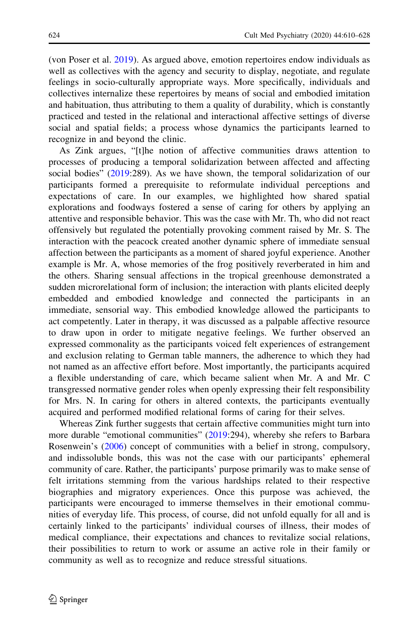(von Poser et al. [2019\)](#page-18-0). As argued above, emotion repertoires endow individuals as well as collectives with the agency and security to display, negotiate, and regulate feelings in socio-culturally appropriate ways. More specifically, individuals and collectives internalize these repertoires by means of social and embodied imitation and habituation, thus attributing to them a quality of durability, which is constantly practiced and tested in the relational and interactional affective settings of diverse social and spatial fields; a process whose dynamics the participants learned to recognize in and beyond the clinic.

As Zink argues, "[t]he notion of affective communities draws attention to processes of producing a temporal solidarization between affected and affecting social bodies" ([2019:](#page-18-0)289). As we have shown, the temporal solidarization of our participants formed a prerequisite to reformulate individual perceptions and expectations of care. In our examples, we highlighted how shared spatial explorations and foodways fostered a sense of caring for others by applying an attentive and responsible behavior. This was the case with Mr. Th, who did not react offensively but regulated the potentially provoking comment raised by Mr. S. The interaction with the peacock created another dynamic sphere of immediate sensual affection between the participants as a moment of shared joyful experience. Another example is Mr. A, whose memories of the frog positively reverberated in him and the others. Sharing sensual affections in the tropical greenhouse demonstrated a sudden microrelational form of inclusion; the interaction with plants elicited deeply embedded and embodied knowledge and connected the participants in an immediate, sensorial way. This embodied knowledge allowed the participants to act competently. Later in therapy, it was discussed as a palpable affective resource to draw upon in order to mitigate negative feelings. We further observed an expressed commonality as the participants voiced felt experiences of estrangement and exclusion relating to German table manners, the adherence to which they had not named as an affective effort before. Most importantly, the participants acquired a flexible understanding of care, which became salient when Mr. A and Mr. C transgressed normative gender roles when openly expressing their felt responsibility for Mrs. N. In caring for others in altered contexts, the participants eventually acquired and performed modified relational forms of caring for their selves.

Whereas Zink further suggests that certain affective communities might turn into more durable "emotional communities" ([2019:](#page-18-0)294), whereby she refers to Barbara Rosenwein's ([2006\)](#page-18-0) concept of communities with a belief in strong, compulsory, and indissoluble bonds, this was not the case with our participants' ephemeral community of care. Rather, the participants' purpose primarily was to make sense of felt irritations stemming from the various hardships related to their respective biographies and migratory experiences. Once this purpose was achieved, the participants were encouraged to immerse themselves in their emotional communities of everyday life. This process, of course, did not unfold equally for all and is certainly linked to the participants' individual courses of illness, their modes of medical compliance, their expectations and chances to revitalize social relations, their possibilities to return to work or assume an active role in their family or community as well as to recognize and reduce stressful situations.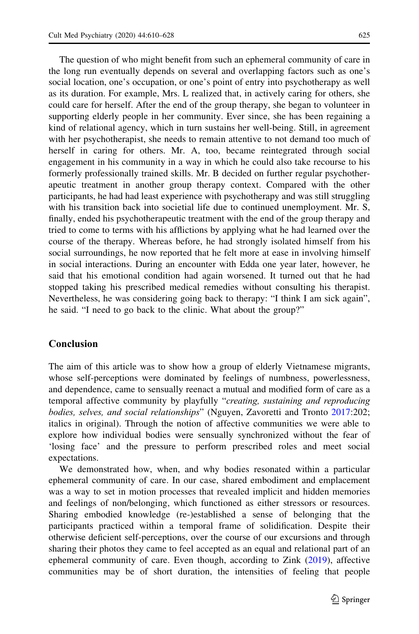The question of who might benefit from such an ephemeral community of care in the long run eventually depends on several and overlapping factors such as one's social location, one's occupation, or one's point of entry into psychotherapy as well as its duration. For example, Mrs. L realized that, in actively caring for others, she could care for herself. After the end of the group therapy, she began to volunteer in supporting elderly people in her community. Ever since, she has been regaining a kind of relational agency, which in turn sustains her well-being. Still, in agreement with her psychotherapist, she needs to remain attentive to not demand too much of herself in caring for others. Mr. A, too, became reintegrated through social engagement in his community in a way in which he could also take recourse to his formerly professionally trained skills. Mr. B decided on further regular psychotherapeutic treatment in another group therapy context. Compared with the other participants, he had had least experience with psychotherapy and was still struggling with his transition back into societial life due to continued unemployment. Mr. S, finally, ended his psychotherapeutic treatment with the end of the group therapy and tried to come to terms with his afflictions by applying what he had learned over the course of the therapy. Whereas before, he had strongly isolated himself from his social surroundings, he now reported that he felt more at ease in involving himself in social interactions. During an encounter with Edda one year later, however, he said that his emotional condition had again worsened. It turned out that he had stopped taking his prescribed medical remedies without consulting his therapist. Nevertheless, he was considering going back to therapy: "I think I am sick again", he said. "I need to go back to the clinic. What about the group?"

## Conclusion

The aim of this article was to show how a group of elderly Vietnamese migrants, whose self-perceptions were dominated by feelings of numbness, powerlessness, and dependence, came to sensually reenact a mutual and modified form of care as a temporal affective community by playfully "creating, sustaining and reproducing bodies, selves, and social relationships" (Nguyen, Zavoretti and Tronto [2017:](#page-18-0)202; italics in original). Through the notion of affective communities we were able to explore how individual bodies were sensually synchronized without the fear of 'losing face' and the pressure to perform prescribed roles and meet social expectations.

We demonstrated how, when, and why bodies resonated within a particular ephemeral community of care. In our case, shared embodiment and emplacement was a way to set in motion processes that revealed implicit and hidden memories and feelings of non/belonging, which functioned as either stressors or resources. Sharing embodied knowledge (re-)established a sense of belonging that the participants practiced within a temporal frame of solidification. Despite their otherwise deficient self-perceptions, over the course of our excursions and through sharing their photos they came to feel accepted as an equal and relational part of an ephemeral community of care. Even though, according to Zink [\(2019](#page-18-0)), affective communities may be of short duration, the intensities of feeling that people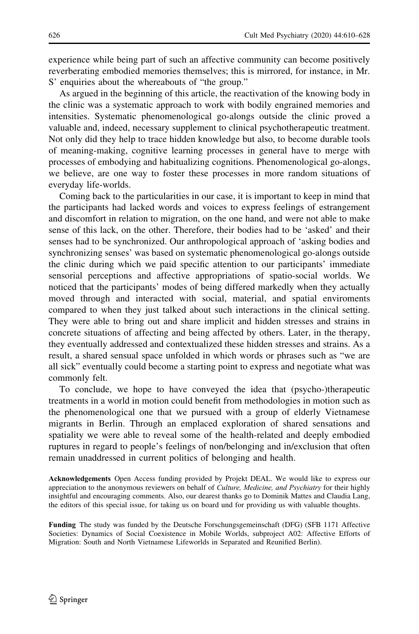experience while being part of such an affective community can become positively reverberating embodied memories themselves; this is mirrored, for instance, in Mr. S' enquiries about the whereabouts of "the group."

As argued in the beginning of this article, the reactivation of the knowing body in the clinic was a systematic approach to work with bodily engrained memories and intensities. Systematic phenomenological go-alongs outside the clinic proved a valuable and, indeed, necessary supplement to clinical psychotherapeutic treatment. Not only did they help to trace hidden knowledge but also, to become durable tools of meaning-making, cognitive learning processes in general have to merge with processes of embodying and habitualizing cognitions. Phenomenological go-alongs, we believe, are one way to foster these processes in more random situations of everyday life-worlds.

Coming back to the particularities in our case, it is important to keep in mind that the participants had lacked words and voices to express feelings of estrangement and discomfort in relation to migration, on the one hand, and were not able to make sense of this lack, on the other. Therefore, their bodies had to be 'asked' and their senses had to be synchronized. Our anthropological approach of 'asking bodies and synchronizing senses' was based on systematic phenomenological go-alongs outside the clinic during which we paid specific attention to our participants' immediate sensorial perceptions and affective appropriations of spatio-social worlds. We noticed that the participants' modes of being differed markedly when they actually moved through and interacted with social, material, and spatial enviroments compared to when they just talked about such interactions in the clinical setting. They were able to bring out and share implicit and hidden stresses and strains in concrete situations of affecting and being affected by others. Later, in the therapy, they eventually addressed and contextualized these hidden stresses and strains. As a result, a shared sensual space unfolded in which words or phrases such as "we are all sick" eventually could become a starting point to express and negotiate what was commonly felt.

To conclude, we hope to have conveyed the idea that (psycho-)therapeutic treatments in a world in motion could benefit from methodologies in motion such as the phenomenological one that we pursued with a group of elderly Vietnamese migrants in Berlin. Through an emplaced exploration of shared sensations and spatiality we were able to reveal some of the health-related and deeply embodied ruptures in regard to people's feelings of non/belonging and in/exclusion that often remain unaddressed in current politics of belonging and health.

Acknowledgements Open Access funding provided by Projekt DEAL. We would like to express our appreciation to the anonymous reviewers on behalf of *Culture, Medicine, and Psychiatry* for their highly insightful and encouraging comments. Also, our dearest thanks go to Dominik Mattes and Claudia Lang, the editors of this special issue, for taking us on board und for providing us with valuable thoughts.

Funding The study was funded by the Deutsche Forschungsgemeinschaft (DFG) (SFB 1171 Affective Societies: Dynamics of Social Coexistence in Mobile Worlds, subproject A02: Affective Efforts of Migration: South and North Vietnamese Lifeworlds in Separated and Reunified Berlin).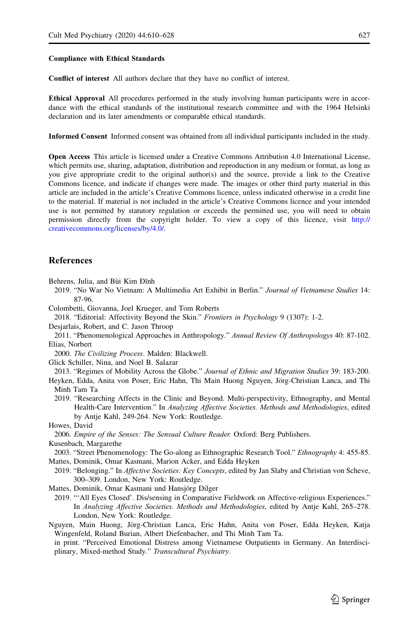#### <span id="page-17-0"></span>Compliance with Ethical Standards

Conflict of interest All authors declare that they have no conflict of interest.

Ethical Approval All procedures performed in the study involving human participants were in accordance with the ethical standards of the institutional research committee and with the 1964 Helsinki declaration and its later amendments or comparable ethical standards.

Informed Consent Informed consent was obtained from all individual participants included in the study.

Open Access This article is licensed under a Creative Commons Attribution 4.0 International License, which permits use, sharing, adaptation, distribution and reproduction in any medium or format, as long as you give appropriate credit to the original author(s) and the source, provide a link to the Creative Commons licence, and indicate if changes were made. The images or other third party material in this article are included in the article's Creative Commons licence, unless indicated otherwise in a credit line to the material. If material is not included in the article's Creative Commons licence and your intended use is not permitted by statutory regulation or exceeds the permitted use, you will need to obtain permission directly from the copyright holder. To view a copy of this licence, visit [http://](http://creativecommons.org/licenses/by/4.0/) [creativecommons.org/licenses/by/4.0/.](http://creativecommons.org/licenses/by/4.0/)

#### **References**

Behrens, Julia, and Bùi Kim Đĩnh

- 2019. "No War No Vietnam: A Multimedia Art Exhibit in Berlin." Journal of Vietnamese Studies 14: 87-96.
- Colombetti, Giovanna, Joel Krueger, and Tom Roberts
- 2018. "Editorial: Affectivity Beyond the Skin." Frontiers in Psychology 9 (1307): 1-2.
- Desjarlais, Robert, and C. Jason Throop
- 2011. "Phenomenological Approaches in Anthropology." Annual Review Of Anthropologys 40: 87-102. Elias, Norbert
- 2000. The Civilizing Process. Malden: Blackwell.
- Glick Schiller, Nina, and Noel B. Salazar

2013. "Regimes of Mobility Across the Globe." Journal of Ethnic and Migration Studies 39: 183-200.

Heyken, Edda, Anita von Poser, Eric Hahn, Thi Main Huong Nguyen, Jörg-Christian Lanca, and Thi Minh Tam Ta

2019. "Researching Affects in the Clinic and Beyond. Multi-perspectivity, Ethnography, and Mental Health-Care Intervention." In Analyzing Affective Societies. Methods and Methodologies, edited by Antje Kahl, 249-264. New York: Routledge.

Howes, David

2006. Empire of the Senses: The Sensual Culture Reader. Oxford: Berg Publishers. Kusenbach, Margarethe

- 2003. "Street Phenomenology: The Go-along as Ethnographic Research Tool." Ethnography 4: 455-85. Mattes, Dominik, Omar Kasmani, Marion Acker, and Edda Heyken
- 2019. "Belonging." In Affective Societies: Key Concepts, edited by Jan Slaby and Christian von Scheve, 300–309. London, New York: Routledge.

Mattes, Dominik, Omar Kasmani und Hansjörg Dilger

2019. "'All Eyes Closed'. Dis/sensing in Comparative Fieldwork on Affective-religious Experiences." In Analyzing Affective Societies. Methods and Methodologies, edited by Antje Kahl, 265-278. London, New York: Routledge.

Nguyen, Main Huong, Jörg-Christian Lanca, Eric Hahn, Anita von Poser, Edda Heyken, Katja Wingenfeld, Roland Burian, Albert Diefenbacher, and Thi Minh Tam Ta.

in print. "Perceived Emotional Distress among Vietnamese Outpatients in Germany. An Interdisciplinary, Mixed-method Study." Transcultural Psychiatry.